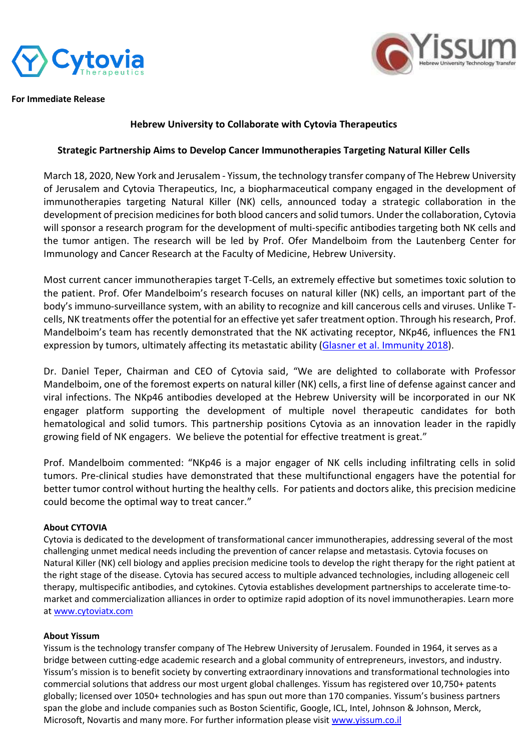



**For Immediate Release**

## **Hebrew University to Collaborate with Cytovia Therapeutics**

## **Strategic Partnership Aims to Develop Cancer Immunotherapies Targeting Natural Killer Cells**

March 18, 2020, New York and Jerusalem - Yissum, the technology transfer company of The Hebrew University of Jerusalem and Cytovia Therapeutics, Inc, a biopharmaceutical company engaged in the development of immunotherapies targeting Natural Killer (NK) cells, announced today a strategic collaboration in the development of precision medicines for both blood cancers and solid tumors. Under the collaboration, Cytovia will sponsor a research program for the development of multi-specific antibodies targeting both NK cells and the tumor antigen. The research will be led by Prof. Ofer Mandelboim from the Lautenberg Center for Immunology and Cancer Research at the Faculty of Medicine, Hebrew University.

Most current cancer immunotherapies target T-Cells, an extremely effective but sometimes toxic solution to the patient. Prof. Ofer Mandelboim's research focuses on natural killer (NK) cells, an important part of the body's immuno-surveillance system, with an ability to recognize and kill cancerous cells and viruses. Unlike Tcells, NK treatments offer the potential for an effective yet safer treatment option. Through his research, Prof. Mandelboim's team has recently demonstrated that the NK activating receptor, NKp46, influences the FN1 expression by tumors, ultimately affecting its metastatic ability [\(Glasner et al. Immunity 2018\)](https://www.cell.com/immunity/fulltext/S1074-7613(18)30128-6).

Dr. Daniel Teper, Chairman and CEO of Cytovia said, "We are delighted to collaborate with Professor Mandelboim, one of the foremost experts on natural killer (NK) cells, a first line of defense against cancer and viral infections. The NKp46 antibodies developed at the Hebrew University will be incorporated in our NK engager platform supporting the development of multiple novel therapeutic candidates for both hematological and solid tumors. This partnership positions Cytovia as an innovation leader in the rapidly growing field of NK engagers. We believe the potential for effective treatment is great."

Prof. Mandelboim commented: "NKp46 is a major engager of NK cells including infiltrating cells in solid tumors. Pre-clinical studies have demonstrated that these multifunctional engagers have the potential for better tumor control without hurting the healthy cells. For patients and doctors alike, this precision medicine could become the optimal way to treat cancer."

## **About CYTOVIA**

Cytovia is dedicated to the development of transformational cancer immunotherapies, addressing several of the most challenging unmet medical needs including the prevention of cancer relapse and metastasis. Cytovia focuses on Natural Killer (NK) cell biology and applies precision medicine tools to develop the right therapy for the right patient at the right stage of the disease. Cytovia has secured access to multiple advanced technologies, including allogeneic cell therapy, multispecific antibodies, and cytokines. Cytovia establishes development partnerships to accelerate time-tomarket and commercialization alliances in order to optimize rapid adoption of its novel immunotherapies. Learn more at [www.cytoviatx.com](file:///C:/Users/Estee/Downloads/www.cytoviatx.com)

## **About Yissum**

Yissum is the technology transfer company of The Hebrew University of Jerusalem. Founded in 1964, it serves as a bridge between cutting-edge academic research and a global community of entrepreneurs, investors, and industry. Yissum's mission is to benefit society by converting extraordinary innovations and transformational technologies into commercial solutions that address our most urgent global challenges. Yissum has registered over 10,750+ patents globally; licensed over 1050+ technologies and has spun out more than 170 companies. Yissum's business partners span the globe and include companies such as Boston Scientific, Google, ICL, Intel, Johnson & Johnson, Merck, Microsoft, Novartis and many more. For further information please visit [www.yissum.co.il](file:///C:/Users/Estee/Downloads/www.yissum.co.il)